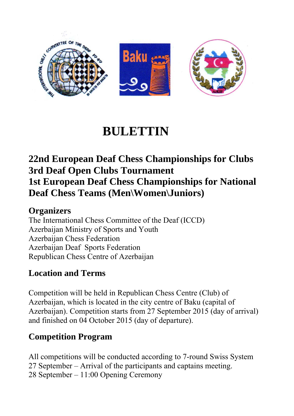

# **BULETTIN**

## **22nd European Deaf Chess Championships for Clubs 3rd Deaf Open Clubs Tournament 1st European Deaf Chess Championships for National Deaf Chess Teams (Men\Women\Juniors)**

#### **Organizers**

The International Chess Committee of the Deaf (ICCD) Azerbaijan Ministry of Sports and Youth Azerbaijan Chess Federation Azerbaijan Deaf Sports Federation Republican Chess Centre of Azerbaijan

#### **Location and Terms**

Competition will be held in Republican Chess Centre (Club) of Azerbaijan, which is located in the city centre of Baku (capital of Azerbaijan). Competition starts from 27 September 2015 (day of arrival) and finished on 04 October 2015 (day of departure).

#### **Competition Program**

All competitions will be conducted according to 7-round Swiss System 27 September – Arrival of the participants and captains meeting. 28 September – 11:00 Opening Ceremony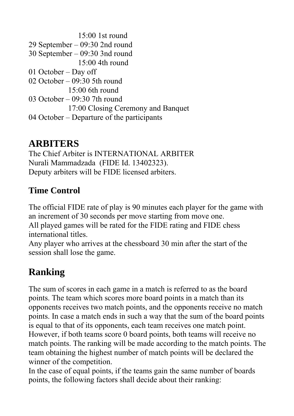15:00 1st round 29 September – 09:30 2nd round 30 September – 09:30 3nd round 15:00 4th round 01 October – Day off 02 October – 09:30 5th round  $15:00$  6th round 03 October – 09:30 7th round 17:00 Closing Ceremony and Banquet 04 October – Departure of the participants

# **ARBITERS**

The Chief Arbiter is INTERNATIONAL ARBITER Nurali Mammadzada (FIDE Id. 13402323). Deputy arbiters will be FIDE licensed arbiters.

## **Time Control**

The official FIDE rate of play is 90 minutes each player for the game with an increment of 30 seconds per move starting from move one.

All played games will be rated for the FIDE rating and FIDE chess international titles.

Any player who arrives at the chessboard 30 min after the start of the session shall lose the game.

# **Ranking**

The sum of scores in each game in a match is referred to as the board points. The team which scores more board points in a match than its opponents receives two match points, and the opponents receive no match points. In case a match ends in such a way that the sum of the board points is equal to that of its opponents, each team receives one match point. However, if both teams score 0 board points, both teams will receive no match points. The ranking will be made according to the match points. The team obtaining the highest number of match points will be declared the winner of the competition.

In the case of equal points, if the teams gain the same number of boards points, the following factors shall decide about their ranking: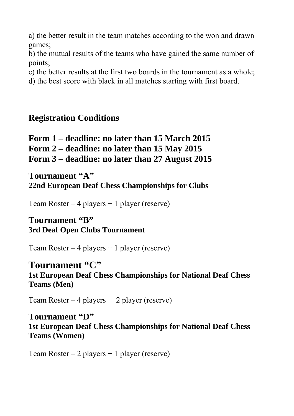a) the better result in the team matches according to the won and drawn games;

b) the mutual results of the teams who have gained the same number of points;

c) the better results at the first two boards in the tournament as a whole;

d) the best score with black in all matches starting with first board.

#### **Registration Conditions**

**Form 1 – deadline: no later than 15 March 2015 Form 2 – deadline: no later than 15 May 2015 Form 3 – deadline: no later than 27 August 2015** 

Tournament "A" **22nd European Deaf Chess Championships for Clubs** 

Team Roster – 4 players + 1 player (reserve)

#### **Tournament "B" 3rd Deaf Open Clubs Tournament**

Team Roster – 4 players + 1 player (reserve)

#### Tournament "C"

**1st European Deaf Chess Championships for National Deaf Chess Teams (Men)** 

Team Roster – 4 players  $+ 2$  player (reserve)

#### **Tournament "D"**

**1st European Deaf Chess Championships for National Deaf Chess Teams (Women)** 

Team Roster – 2 players + 1 player (reserve)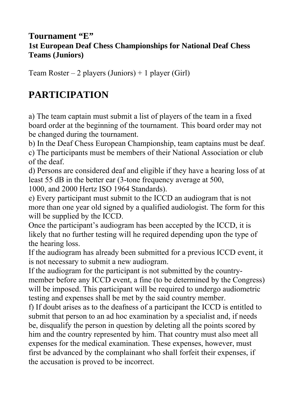#### **Tournament "E" 1st European Deaf Chess Championships for National Deaf Chess Teams (Juniors)**

Team Roster – 2 players (Juniors) + 1 player (Girl)

# **PARTICIPATION**

a) The team captain must submit a list of players of the team in a fixed board order at the beginning of the tournament. This board order may not be changed during the tournament.

b) In the Deaf Chess European Championship, team captains must be deaf.

c) The participants must be members of their National Association or club of the deaf.

d) Persons are considered deaf and eligible if they have a hearing loss of at least 55 dB in the better ear (3-tone frequency average at 500,

1000, and 2000 Hertz ISO 1964 Standards).

e) Every participant must submit to the ICCD an audiogram that is not more than one year old signed by a qualified audiologist. The form for this will be supplied by the ICCD.

Once the participant's audiogram has been accepted by the ICCD, it is likely that no further testing will he required depending upon the type of the hearing loss.

If the audiogram has already been submitted for a previous ICCD event, it is not necessary to submit a new audiogram.

If the audiogram for the participant is not submitted by the countrymember before any ICCD event, a fine (to be determined by the Congress) will be imposed. This participant will be required to undergo audiometric testing and expenses shall be met by the said country member.

f) If doubt arises as to the deafness of a participant the ICCD is entitled to submit that person to an ad hoc examination by a specialist and, if needs be, disqualify the person in question by deleting all the points scored by him and the country represented by him. That country must also meet all expenses for the medical examination. These expenses, however, must first be advanced by the complainant who shall forfeit their expenses, if the accusation is proved to be incorrect.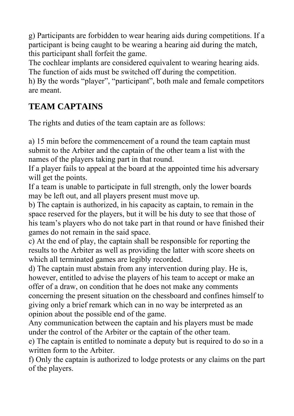g) Participants are forbidden to wear hearing aids during competitions. If a participant is being caught to be wearing a hearing aid during the match, this participant shall forfeit the game.

The cochlear implants are considered equivalent to wearing hearing aids. The function of aids must be switched off during the competition.

h) By the words "player", "participant", both male and female competitors are meant.

## **TEAM CAPTAINS**

The rights and duties of the team captain are as follows:

a) 15 min before the commencement of a round the team captain must submit to the Arbiter and the captain of the other team a list with the names of the players taking part in that round.

If a player fails to appeal at the board at the appointed time his adversary will get the points.

If a team is unable to participate in full strength, only the lower boards may be left out, and all players present must move up.

b) The captain is authorized, in his capacity as captain, to remain in the space reserved for the players, but it will be his duty to see that those of his team's players who do not take part in that round or have finished their games do not remain in the said space.

c) At the end of play, the captain shall be responsible for reporting the results to the Arbiter as well as providing the latter with score sheets on which all terminated games are legibly recorded.

d) The captain must abstain from any intervention during play. He is, however, entitled to advise the players of his team to accept or make an offer of a draw, on condition that he does not make any comments concerning the present situation on the chessboard and confines himself to giving only a brief remark which can in no way be interpreted as an opinion about the possible end of the game.

Any communication between the captain and his players must be made under the control of the Arbiter or the captain of the other team.

e) The captain is entitled to nominate a deputy but is required to do so in a written form to the Arbiter.

f) Only the captain is authorized to lodge protests or any claims on the part of the players.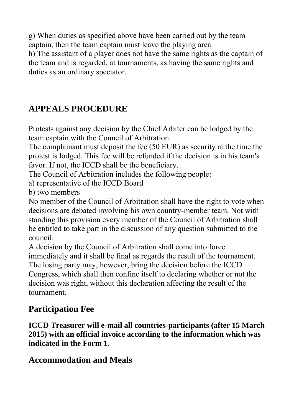g) When duties as specified above have been carried out by the team captain, then the team captain must leave the playing area.

h) The assistant of a player does not have the same rights as the captain of the team and is regarded, at tournaments, as having the same rights and duties as an ordinary spectator.

## **APPEALS PROCEDURE**

Protests against any decision by the Chief Arbiter can be lodged by the team captain with the Council of Arbitration.

The complainant must deposit the fee (50 EUR) as security at the time the protest is lodged. This fee will be refunded if the decision is in his team's favor. If not, the ICCD shall be the beneficiary.

The Council of Arbitration includes the following people:

a) representative of the ICCD Board

b) two members

No member of the Council of Arbitration shall have the right to vote when decisions are debated involving his own country-member team. Not with standing this provision every member of the Council of Arbitration shall be entitled to take part in the discussion of any question submitted to the council.

A decision by the Council of Arbitration shall come into force immediately and it shall be final as regards the result of the tournament. The losing party may, however, bring the decision before the ICCD Congress, which shall then confine itself to declaring whether or not the decision was right, without this declaration affecting the result of the tournament.

## **Participation Fee**

**ICCD Treasurer will e-mail all countries-participants (after 15 March 2015) with an official invoice according to the information which was indicated in the Form 1.** 

#### **Accommodation and Meals**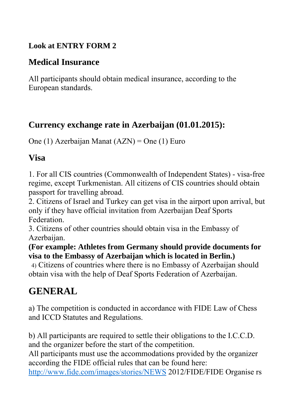#### **Look at ENTRY FORM 2**

## **Medical Insurance**

All participants should obtain medical insurance, according to the European standards.

### **Currency exchange rate in Azerbaijan (01.01.2015):**

One (1) Azerbaijan Manat (AZN) = One (1) Euro

### **Visa**

1. For all CIS countries (Commonwealth of Independent States) - visa-free regime, except Turkmenistan. All citizens of CIS countries should obtain passport for travelling abroad.

2. Citizens of Israel and Turkey can get visa in the airport upon arrival, but only if they have official invitation from Azerbaijan Deaf Sports Federation.

3. Citizens of other countries should obtain visa in the Embassy of Azerbaijan.

**(For example: Athletes from Germany should provide documents for visa to the Embassy of Azerbaijan which is located in Berlin.)** 

 4) Citizens of countries where there is no Embassy of Azerbaijan should obtain visa with the help of Deaf Sports Federation of Azerbaijan.

# **GENERAL**

a) The competition is conducted in accordance with FIDE Law of Chess and ICCD Statutes and Regulations.

b) All participants are required to settle their obligations to the I.C.C.D. and the organizer before the start of the competition.

All participants must use the accommodations provided by the organizer according the FIDE official rules that can be found here:

http://www.fide.com/images/stories/NEWS 2012/FIDE/FIDE Organise rs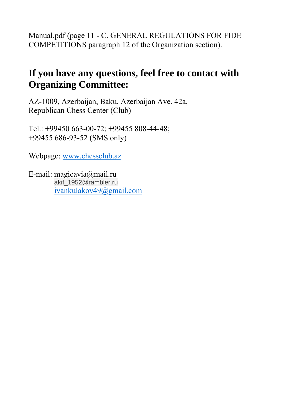Manual.pdf (page 11 - C. GENERAL REGULATIONS FOR FIDE COMPETITIONS paragraph 12 of the Organization section).

## **If you have any questions, feel free to contact with Organizing Committee:**

AZ-1009, Azerbaijan, Baku, Azerbaijan Ave. 42a, Republican Chess Center (Club)

Tel.: +99450 663-00-72; +99455 808-44-48; +99455 686-93-52 (SMS only)

Webpage: www.chessclub.az

E-mail: magicavia@mail.ru akif\_1952@rambler.ru іvankulakov49@gmail.com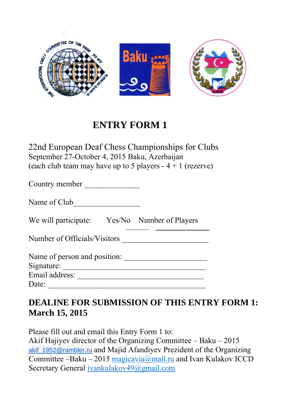

22nd European Deaf Chess Championships for Clubs September 27-October 4, 2015 Baku, Azerbaijan (each club team may have up to 5 players  $-4 + 1$  (rezerve)

Country member \_\_\_\_\_\_\_\_\_\_\_\_\_\_

Name of Club\_\_\_\_\_\_\_\_\_\_\_\_\_\_\_\_\_

We will participate: Yes/No Number of Players

Number of Officials/Visitors \_\_\_\_\_\_\_\_\_\_\_\_\_\_\_\_\_\_\_\_\_\_

Name of person and position: \_\_\_\_\_\_\_\_\_\_\_\_\_\_\_\_\_\_\_\_\_

Signature: \_\_\_\_\_\_\_\_\_\_\_\_\_\_\_\_\_\_\_\_\_\_\_\_\_\_\_\_\_\_\_\_\_\_\_\_

Email address: \_\_\_\_\_\_\_\_\_\_\_\_\_\_\_\_\_\_\_\_\_\_\_\_\_\_\_\_\_\_\_\_

Date: \_\_\_\_\_\_\_\_\_\_\_\_\_\_\_\_\_\_\_\_\_\_\_\_\_\_\_\_\_\_\_\_\_\_\_\_\_\_\_\_

### **DEALINE FOR SUBMISSION OF THIS ENTRY FORM 1: March 15, 2015**

Please fill out and email this Entry Form 1 to:

Akif Hajiyev director of the Organizing Committee – Baku – 2015 akif 1952@rambler.ru and Majid Afandiyev Prezident of the Organizing Committee –Baku – 2015 magicavia@mail.ru and Ivan Kulakov ICCD Secretary General ivankulakov49@gmail.com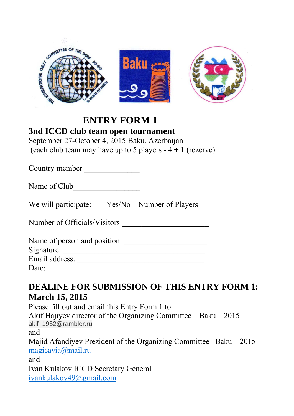

#### **3nd ICCD club team open tournament**

September 27-October 4, 2015 Baku, Azerbaijan (each club team may have up to 5 players  $-4 + 1$  (rezerve)

Country member \_\_\_\_\_\_\_\_\_\_\_\_\_\_

We will participate: Yes/No Number of Players

Number of Officials/Visitors \_\_\_\_\_\_\_\_\_\_\_\_\_\_\_\_\_\_\_\_\_\_

| Name of person and position: |  |
|------------------------------|--|
| Signature:                   |  |

Email address: \_\_\_\_\_\_\_\_\_\_\_\_\_\_\_\_\_\_\_\_\_\_\_\_\_\_\_\_\_\_\_\_

Date:

## **DEALINE FOR SUBMISSION OF THIS ENTRY FORM 1: March 15, 2015**

Please fill out and email this Entry Form 1 to: Akif Hajiyev director of the Organizing Committee  $-$  Baku  $-$  2015 akif\_1952@rambler.ru and Majid Afandiyev Prezident of the Organizing Committee –Baku – 2015 magicavia@mail.ru and Ivan Kulakov ICCD Secretary General ivankulakov49@gmail.com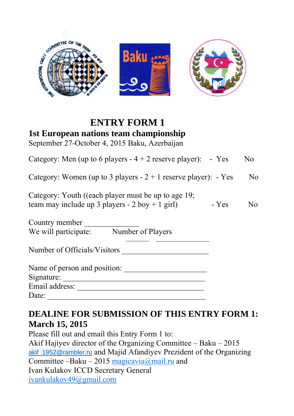

### **ENTRY FORM 1 1st European nations team championship**

September 27-October 4, 2015 Baku, Azerbaijan

| Category: Men (up to 6 players $-4 + 2$ reserve player): - Yes                                              |         | N <sub>0</sub> |
|-------------------------------------------------------------------------------------------------------------|---------|----------------|
| Category: Women (up to 3 players $-2 + 1$ reserve player): $-$ Yes                                          |         | N <sub>0</sub> |
| Category: Youth ((each player must be up to age $19$ ;<br>team may include up 3 players - $2$ boy + 1 girl) | $- Yes$ | N <sub>0</sub> |
| Country member<br>We will participate:<br>Number of Players                                                 |         |                |
| Number of Officials/Visitors                                                                                |         |                |
| Name of person and position:<br>Signature:                                                                  |         |                |
| Email address:                                                                                              |         |                |
| Date:                                                                                                       |         |                |

## **DEALINE FOR SUBMISSION OF THIS ENTRY FORM 1: March 15, 2015**

Please fill out and email this Entry Form 1 to: Akif Hajiyev director of the Organizing Committee – Baku – 2015 akif 1952@rambler.ru and Majid Afandiyev Prezident of the Organizing Committee –Baku – 2015 magicavia@mail.ru and Ivan Kulakov ICCD Secretary General ivankulakov49@gmail.com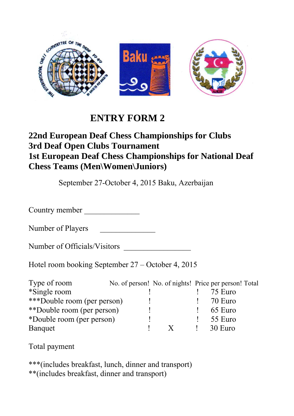

#### **22nd European Deaf Chess Championships for Clubs 3rd Deaf Open Clubs Tournament 1st European Deaf Chess Championships for National Deaf Chess Teams (Men\Women\Juniors)**

September 27-October 4, 2015 Baku, Azerbaijan

Country member

Number of Players

Number of Officials/Visitors

Hotel room booking September 27 – October 4, 2015

| Type of room                |  |  | No. of person! No. of nights! Price per person! Total |
|-----------------------------|--|--|-------------------------------------------------------|
| *Single room                |  |  | 75 Euro                                               |
| ***Double room (per person) |  |  | 70 Euro                                               |
| **Double room (per person)  |  |  | 65 Euro                                               |
| *Double room (per person)   |  |  | 55 Euro                                               |
| Banquet                     |  |  | 30 Euro                                               |

Total payment

\*\*\*(includes breakfast, lunch, dinner and transport) \*\*(includes breakfast, dinner and transport)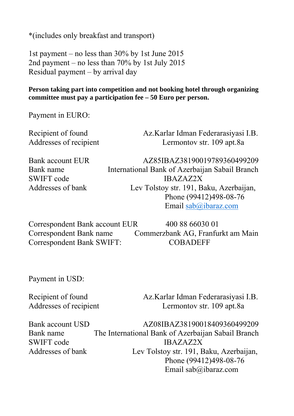\*(includes only breakfast and transport)

1st payment – no less than 30% by 1st June 2015 2nd payment – no less than 70% by 1st July 2015 Residual payment – by arrival day

#### **Person taking part into competition and not booking hotel through organizing committee must pay a participation fee – 50 Euro per person.**

Payment in EURO:

Recipient of found Az.Karlar Idman Federarasiyasi I.B. Addresses of recipient Lermontov str. 109 apt.8a

Bank account EUR AZ85IBAZ38190019789360499209 Bank name International Bank of Azerbaijan Sabail Branch SWIFT code IBAZAZ2X Addresses of bank Lev Tolstoy str. 191, Baku, Azerbaijan, Phone (99412)498-08-76 Email sab@ibaraz.com

Correspondent Bank account EUR 400 88 66030 01 Correspondent Bank name Commerzbank AG, Franfurkt am Main Correspondent Bank SWIFT: COBADEFF

Payment in USD:

Recipient of found Az.Karlar Idman Federarasiyasi I.B. Addresses of recipient Lermontov str. 109 apt.8a

Bank account USD  $AZ08IBAZ38190018409360499209$ Bank name The International Bank of Azerbaijan Sabail Branch SWIFT code IBAZAZ2X Addresses of bank Lev Tolstoy str. 191, Baku, Azerbaijan, Phone (99412)498-08-76 Email sab@ibaraz.com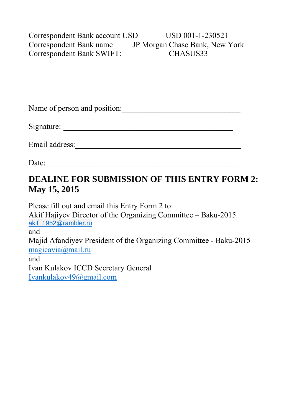Correspondent Bank account USD USD 001-1-230521 Correspondent Bank name JP Morgan Chase Bank, New York Correspondent Bank SWIFT: CHASUS33

Name of person and position:

Signature: \_\_\_\_\_\_\_\_\_\_\_\_\_\_\_\_\_\_\_\_\_\_\_\_\_\_\_\_\_\_\_\_\_\_\_\_\_\_\_\_\_\_\_

Email address:\_\_\_\_\_\_\_\_\_\_\_\_\_\_\_\_\_\_\_\_\_\_\_\_\_\_\_\_\_\_\_\_\_\_\_\_\_\_\_\_\_\_

Date: \_\_\_\_\_\_\_\_\_\_\_\_\_\_\_\_\_\_\_\_\_\_\_\_\_\_\_\_\_\_\_\_\_\_\_\_\_\_\_\_\_\_\_\_\_\_\_\_\_

### **DEALINE FOR SUBMISSION OF THIS ENTRY FORM 2: May 15, 2015**

Please fill out and email this Entry Form 2 to: Akif Hajiyev Director of the Organizing Committee – Baku-2015 akif\_1952@rambler.ru and Majid Afandiyev President of the Organizing Committee - Baku-2015 magicavia@mail.ru and Ivan Kulakov ICCD Secretary General Ivankulakov49@gmail.com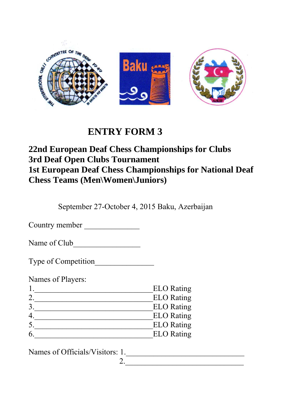

#### **22nd European Deaf Chess Championships for Clubs 3rd Deaf Open Clubs Tournament 1st European Deaf Chess Championships for National Deaf Chess Teams (Men\Women\Juniors)**

September 27-October 4, 2015 Baku, Azerbaijan

2.

Country member \_\_\_\_\_\_\_\_\_\_\_\_\_\_

Name of Club\_\_\_\_\_\_\_\_\_\_\_\_\_\_\_\_\_

Type of Competition\_\_\_\_\_\_\_\_\_\_\_\_\_\_\_

Names of Players:

| <b>ELO</b> Rating |
|-------------------|
| <b>ELO</b> Rating |
| <b>ELO</b> Rating |
| <b>ELO</b> Rating |
| <b>ELO</b> Rating |
| <b>ELO</b> Rating |

Names of Officials/Visitors: 1.\_\_\_\_\_\_\_\_\_\_\_\_\_\_\_\_\_\_\_\_\_\_\_\_\_\_\_\_\_\_